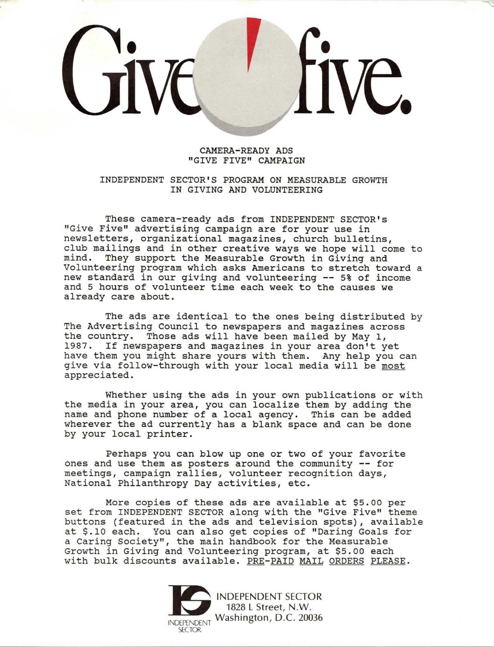### CAMERA-READY ADS "GIVE FIVE" CAMPAIGN

### INDEPENDENT SECTOR'S PROGRAM ON MEASURABLE GROWTH IN GIVING AND VOLUNTEERING

**These camera-ready ads from INDEPENDENT SECTOR's**  "Give Five" advertising campaign are for your use in newsletters, organizational magazines, church bulletins, club mailings and in other creative ways we hope will come to mind. They support the Measurable Growth in Giving and They support the Measurable Growth in Giving and Volunteering program which asks Americans to stretch toward a new standard in our giving and volunteering -- 5% of income and 5 hours of volunteer time each week to the causes we already care about.

The ads are identical to the ones being distributed by The Advertising Council to newspapers and magazines across the country. Those ads will have been mailed by May 1, 1987. If newspapers and magazines in your area don't yet have them you might share yours with them. Any help you can give via follow-through with your local media will be most appreciated.

Whether using the ads in your own publications or with the media in your area, you can localize them by adding the name and phone number of a local agency. This can be added wherever the ad currently has a blank space and can be done by your local printer.

Perhaps you can blow up one or two of your favorite ones and use them as posters around the community -- for meetings, campaign rallies, volunteer recognition days, National Philanthropy Day activities, etc.

More copies of these ads are available at \$5.00 per set from INDEPENDENT SECTOR along with the "Give Five" theme buttons (featured in the ads and television spots), available at \$.10 each. You can also get copies of "Daring Goals for a Caring Society'', the main handbook for the Measurable Growth in Giving and Volunteering program, at \$5.00 each **with bulk discounts available. PRE-PAID MAIL ORDERS PLEASE.** 

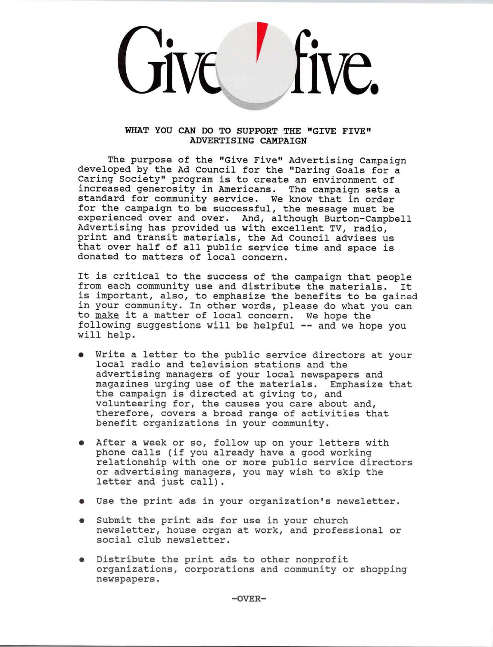

### **WHAT YOU CAN DO TO SUPPORT THE "GIVE FIVE" ADVERTISING CAMPAIGN**

The purpose of the "Give Five" Advertising Campaign developed by the Ad council for the "Daring Goals for a Caring Society" program is to create an environment of increased generosity in Americans. The campaign sets a standard for community service. We know that in order for the campaign to be successful, the message must be experienced over and over. And, although Burton-Campbell Advertising has provided us with excellent TV, radio, print and transit materials, the Ad Council advises us that over half of all public service time and space is donated to matters of local concern.

It is critical to the success of the campaign that people from each community use and distribute the materials. It is important, also, to emphasize the benefits to be gained in your community. In other words, please do what you can to make it a matter of local concern. We hope the following suggestions will be helpful -- and we hope you will help.

- Write a letter to the public service directors at your local radio and television stations and the advertising managers of your local newspapers and magazines urging use of the materials. Emphasize that the campaign is directed at giving to, and volunteering for, the causes you care about and, therefore, covers a broad range of activities that benefit organizations in your community.
- After a week or so, follow up on your letters with phone calls (if you already have a good working relationship with one or more public service directors or advertising managers, you may wish to skip the letter and just call).
- Use the print ads in your organization's newsletter.
- Submit the print ads for use in your church newsletter, house organ at work, and professional or social club newsletter.
- Distribute the print ads to other nonprofit organizations, corporations and community or shopping newspapers.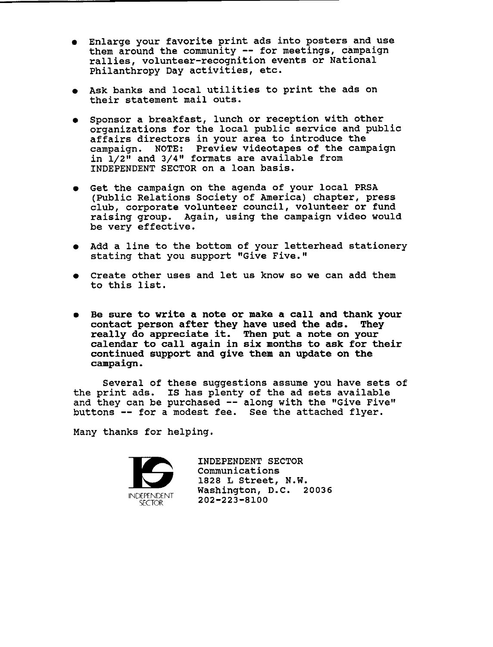- Enlarge your favorite print ads into posters and use them around the community -- for meetings, campaign rallies, volunteer-recognition events or National Philanthropy Day activities, etc.
- Ask banks and local utilities to print the ads on their statement mail outs.
- Sponsor a breakfast, lunch or reception with other organizations for the local public service and public affairs directors in your area to introduce the campaign. NOTE: Preview videotapes of the campaign in  $1/2$ <sup> $\overline{1}$ </sup> and  $3/4$ " formats are available from INDEPENDENT SECTOR on a loan basis.
- Get the campaign on the agenda of your local PRSA<br>(Public Relations Society of America) chapter, press club, corporate volunteer council, volunteer or fund raising group. Again, using the campaign video would be very effective.
- Add a line to the bottom of your letterhead stationery stating that you support "Give Five."
- Create other uses and let us know so we can add them to this list.
- Be sure to write a note or **make a** call and thank your contact person after they have used the ads. They really do appreciate it. Then put a note on your calendar to call again in six months to ask for their continued support and give them an update on the campaign.

Several of these suggestions assume you have sets of the print ads. IS has plenty of the ad sets available and they can be purchased -- along with the "Give Five" buttons -- for a modest fee. See the attached flyer.

Many thanks for helping.



INDEPENDENT SECTOR Communications 1828 L Street, **N.W.**  Washington, D.C. 20036 202-223-8100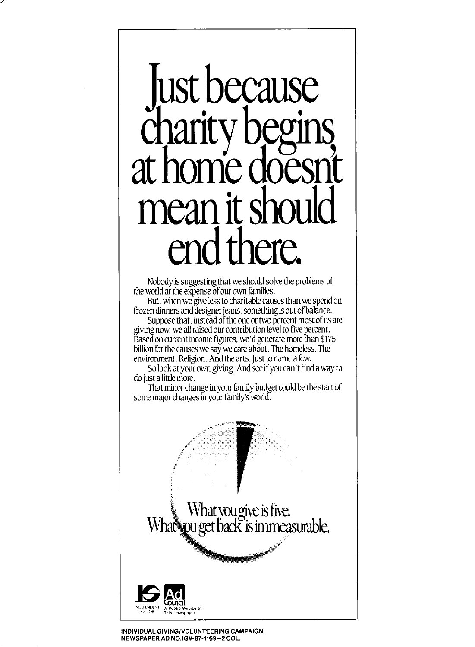## **ust because** charity begins **at home doesn't mean itshould end there.**

Nobody is suggesting that we should solve the problems of the world at the expense of our own families.

But, when we give less to charitable causes than we spend on frozen dinners and designer jeans, something is out of balance.

Suppose that, instead of the one or two percent most of us are giving now, we all raised our contribution level to five percent. Based on current income figures, we'd generate more than \$175 billion for the causes we say we care about. The homeless. The environment. Religion. And the arts. Just to name a few.

So look at your own giving. And see if you can't find a way to do just a little more.

That minor change in your family budget could be the start of some major changes in your family's world.

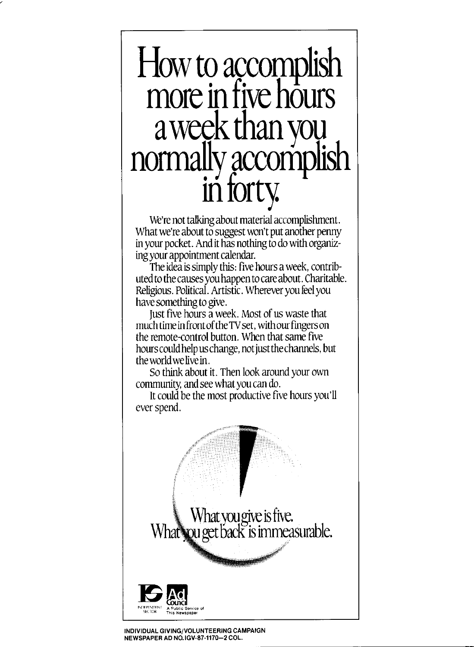### $How$  to accomplish  $|$ **more in five hours**  a week than you<br>normally accompli in forty.

We're not talking about material accomplishment. What we're about to suggest won't put another penny in your pocket. And it has nothing to do with organizing your appointment calendar.

The idea is simply this: five hours a week, contributed to the causes you happen to care about. Charitable. Religious. Political. Artistic. Wherever you feel you have something to give.

Just five hours a week. Most of us waste that much time in front of the TV set, with our fingers on the remote-control button. When that same five hours could help us change, not just the channels, but the world we live in.

So think about it. Then look around your own community, and see what you can do.

It could be the most productive five hours you'll ever spend.



INDIVIDUAL GIVING/VOLUNTEERING CAMPAIGN NEWSPAPER AD NO.IGV-87-1170-2 COL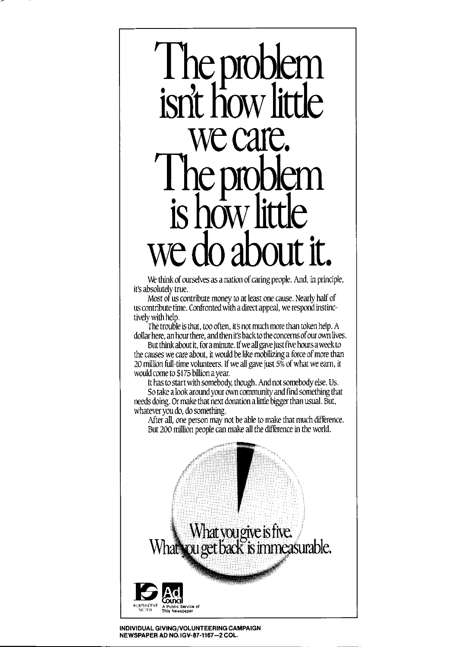### **The product**<br> **The product isrltiow little we care.**  The problem |  $\frac{1}{2}$  is how little **we do about it.**

We think of ourselves as a nation of caring people. And, in principle, it's absolutely true.

Most of us contribute money to at least one cause. Nearly half of us contribute time. Confronted with a direct appeal, we respond instinctively with help.

The trouble is that, too often, it's not much more than token help. A dollar here, an hour there, and then it's back to the concerns of our own lives.

But think about it, for a minute. If we all gave just five hours aweek to the causes we care about, it would be like mobilizing a force of more than 20 million full-time volunteers. If we all gave just 5% of what we earn, it would come to \$175 billion a year.

It has to start with somebody, though. And not somebody else. Us. So take a look around your own community and find something that needs doing. Or make that next donation a little biggerthan usual. But, whatever you do, do something.

After all, one person may not be able to make that much diflerence. But 200 million people can make all the diflerence in the world.



**INDIVIDUAL GIVING/VOLUNTEERING CAMPAIGN NEWSPAPER AD NO. IGV-87-1167-2 COL.**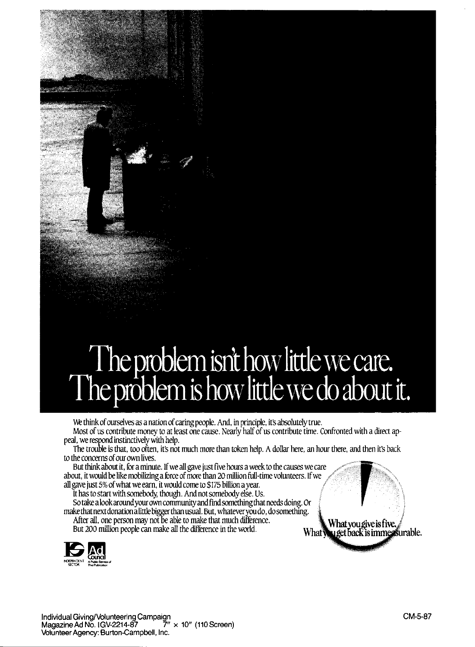## The problem isn't how little we care.<br>The problem is how little we do about it.

We think of ourselves as a nation of caring people. And, in principle, it's absolutely true. Most of us contribute money to at least one cause. Nearly half of us contribute time. Confronted with a direct appeal, we respond instinctively with help.

The trouble is that, too often, it's not much more than token help. A dollar here, an hour there, and then it's back to the concerns of our own lives.

about, it would be like mobilizing a force of more than 20 million full-time volunteers. If we all gave just 5% of what we earn, it would come to \$175 billion a year. But think about it, for a minute. If we all gave just five hours a week to the causes we care.

It has to start with somebody, though. And not somebody else. Us.<br>So take a look around your own community and find something that needs doing. Or make that next donation a little bigger than usual. But, whatever you do, do something. After all, one person may not be able to make that much difference.<br>But 200 million people can make all the difference in the world. **What was all as a weak in the world.** What **What simme as urable.** 



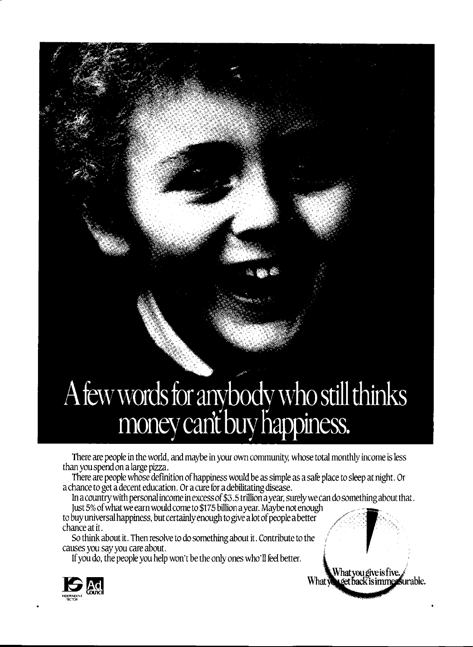# A few words for anybody who still thinks<br>money can't buy happiness.

There are people in the world, and maybe in your own community, whose total monthly income is less than you spend on a large pizza.

There are people whose definition of happiness would be as simple as a sale place to sleep at night. Or a chance to get a decent education. Or a cure for a debilitating disease.

In a country with personal income in excess of \$3.5 trillion a year, surely we can do something about that.<br>Just 5% of what we earn would come to \$175 billion a year. Maybe not enough

Just 5% of what we earn would come to \$175 billion a year. Maybe not enough<br>to buy universal happiness, but certainly enough to give a lot of people a better<br>chance at it.

So think about it. Then resolve to do something about it. Contribute to the causes you say you care about.

If you do, the people you help won't be the only ones who'll feel better.



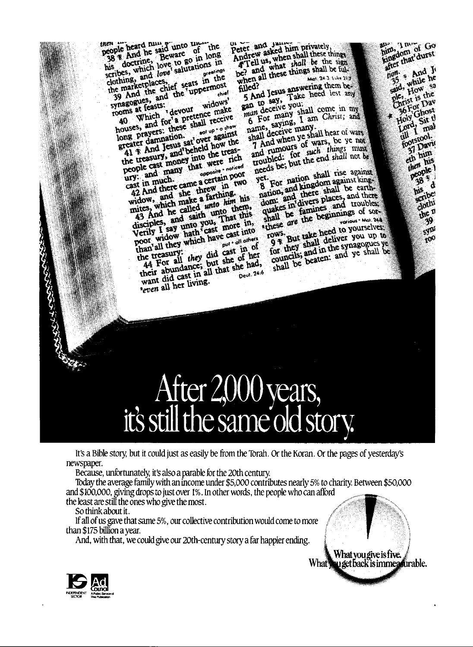nen je heard nun 3 unto un the<br>1938 R And he said unto un the men nen beard number of the people hard number of the said unto the said long in long<br>his doctrine, Beware to go in long<br>his doctrine, which love to go in long<br>scribes, which done salutations in<br>clothing, and love salutations grestings ribes, which love saluted greenes<br>tothing, and the chief seats in the<br>he marketplaces, eff seats in the<br>39 And the uppermost clothing, and the ch clothing, and chef seats in the<br>the marketplaces, eff seats in the<br>39 And the and the uppermost<br>synagogues, ass:<br>synagogues, ass:<br>compared in the world make ehist

gues, and the widows'<br>at feasts: devour widows'<br>which i devour enake synagogues,<br>rooms at feasts: whagosureasts: devour widows<br>a Which devour make<br>a Which for a pretence make<br>houses, and for a pretence shall receive

ooms which devourement many<br>houses, and for a pretence many<br>houses, and for a pretent receive<br>long prayers: these shall receive  $\frac{1}{2}$  all TCCC show suses, and these summer of the reasonable reactor against<br>reater dannation.<br>41 T And Jesus, sat over against<br>41 T And Jesus, and beheld how the long prayers: union.<br>greater damnation.

ong prayumnation.<br>
Treater dand Jesus sat over against<br>
41 % And Jesus sat over the treas-<br>
the treasury, and beheld how the<br>
the treasury, and the were rich<br>
coople cast money that were Treater and Jesus vacheld how the<br>the treasury, and beheld how the<br>the treasury, and many that were rich<br>people cast many that were rich<br>ury: and many that seperitain poor copie and many the opposite notice<br>ast in much.<br>42 And there came a certain poor<br>42 And there came threw in two ury: and there<br>cast in much.

Try: and there came a certain poor<br>ast in much.<br>42 And there came a farthing.<br>widow, and nake a farthing.<br>mites, which make a farthing his<br>and saith unto them,<br>43 And he called *unto* them,<br>disciples, and saith unto them, widow, thich make a land him his<br>mites, which make a land him his<br>43 And he called unto them,<br>disciples, and saith unto have in,<br>verily I say unto you, finore in,<br>poor widow hath cast more out of the poor widow hand all th discribe I say unto cast more into<br>poor widow hath cast into<br>poor widow hath have cast into<br>than all they which have  $\frac{1}{p^{(1 + \alpha)}}$  on the  $e^{c}$   $\frac{cos \theta}{sin \theta}$  others poor which have put of theme.<br>than'all they which have put of the treasury:<br>the treasury: they did cast in of<br>44 For all they but she had,<br>their abundance, all that she had,<br>want did cast in all that she had,<br>want did cast Deut. 24:6 want did cash iving.

peter and January privately,<br>Andrew asked him privately,<br>Andrew asked him shall these the eter and sked him privately,<br>andrew asked him shall these things<br>**4 Tell us, what** shall be the sign Andrew askednamely these things<br>Andrew what shall be the sign<br>be? and what shall be full-<br>be? and it these things shall be full-<br>when all these things and 240 time be Mat. 24-3, Luke 21-7 hen and Jesus answering them be-<br>5 And Jesus Take heed lest any<br>5 And Jesus Take heed lest any Filed?

5 And Jesus australian<br>gan to say, Take<br>man deceive you. ran deceive you.<br>man deceive you.<br>6 For many sham Christ; and<br>name, saying, I am Christ; and<br>name, deceive many

name, saying, many<br>shall deceive many<br>shall of when ye sha ame, saying, many.<br>hall deceive many.<br>7 And when ye shall hear of wars.<br>7 And when ye wars, be ye not hall deceive the shall hear of wars<br>7 And when ye shall hear of ye not<br>7 And rumours of wars, be ye not<br>and rumours for such things must T And when yet wars, be ye not<br>and rumours of wars, be ye not<br>and rumours of such things must<br>roubled: for such the road shall not be<br>needs be; but the end shall nise against

eeds be; but the shall rise against<br>ret. For nation shall rise against<br>8 For and kingdom against kingyet.<br>8 For nation shall rise against<br>8 For and kingdom against king<br>nation, and there shall be earthyet. et. For nation against king-<br>8 For nation, and kingdom against king-<br>nation, and there shall be earth-<br>dom: a in'divers baces, and troubles B rion, and kingde shall be earth-<br>and there shall be earth-<br>dom: and triviers places, and troubles,<br>quakes in famines and troubles. nation, and there places, and there<br>dom: and divers places, and troubles<br>quakes in famines and troubles<br>shall be the beginnings of sor-<br>these are the beginnings of sor-

these are the heed to yourselves.<br>rows. But take heed to yourselves.<br>9 % hoy shall deliver you up to new.<br>9 % But take heed to yourselves.<br>9 % they shall deliver you up to<br>for they shall the synagogues ye 9 They shall deliver you up to<br>for they shall deliver you up to<br>for they shall be synagogues ye for they shall the synagogues ye

### apen, I must Go<br>Eingdom of Go<br>Einger that durst

sypi

 $y<sub>0</sub>$ 

## After 2000 years,<br>it's still the same old story.

It's a Bible story, but it could just as easily be from the Torah. Or the Koran. Or the pages of yesterday's newspaper.

Because, unfortunately, it'salso a parable for the 20th century.

Today the average family with an income under \$5,000 contributes nearly 5% to charity. Between \$50,000 and \$100,000, giving drops to just over 1%. In other words, the people who can afford

the least are still the ones who give the most.

So think about it.

CANAL HISTORY

If all of us gave that same 5%, our collective contribution would come to more than \$175 billion a year.

And, with that, we could give our 20th-century story a far happier ending.